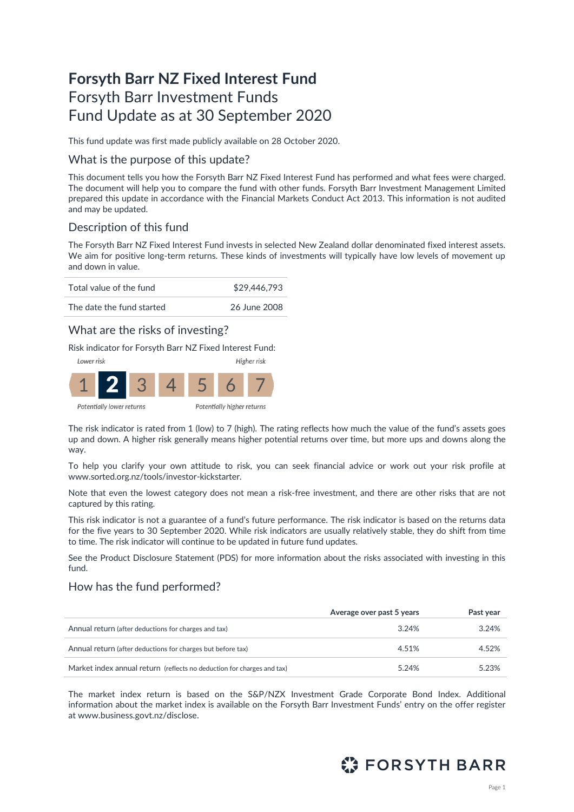# **Forsyth Barr NZ Fixed Interest Fund** Forsyth Barr Investment Funds Fund Update as at 30 September 2020

This fund update was first made publicly available on 28 October 2020.

### What is the purpose of this update?

This document tells you how the Forsyth Barr NZ Fixed Interest Fund has performed and what fees were charged. The document will help you to compare the fund with other funds. Forsyth Barr Investment Management Limited prepared this update in accordance with the Financial Markets Conduct Act 2013. This information is not audited and may be updated.

## Description of this fund

The Forsyth Barr NZ Fixed Interest Fund invests in selected New Zealand dollar denominated fixed interest assets. We aim for positive long-term returns. These kinds of investments will typically have low levels of movement up and down in value.



## What are the risks of investing?

Risk indicator for Forsyth Barr NZ Fixed Interest Fund:



Potentially lower returns

The risk indicator is rated from 1 (low) to 7 (high). The rating reflects how much the value of the fund's assets goes up and down. A higher risk generally means higher potential returns over time, but more ups and downs along the way.

To help you clarify your own attitude to risk, you can seek financial advice or work out your risk profile at [www.sorted.org.nz/tools/investor-kickstarter.](http://www.sorted.org.nz/tools/investor-kickstarter) 

Note that even the lowest category does not mean a risk-free investment, and there are other risks that are not captured by this rating.

This risk indicator is not a guarantee of a fund's future performance. The risk indicator is based on the returns data for the five years to 30 September 2020. While risk indicators are usually relatively stable, they do shift from time to time. The risk indicator will continue to be updated in future fund updates.

See the Product Disclosure Statement (PDS) for more information about the risks associated with investing in this fund.

### How has the fund performed?

|                                                                        | Average over past 5 years | Past year |
|------------------------------------------------------------------------|---------------------------|-----------|
| Annual return (after deductions for charges and tax)                   | 3.24%                     | 3.24%     |
| Annual return (after deductions for charges but before tax)            | 4.51%                     | 4.52%     |
| Market index annual return (reflects no deduction for charges and tax) | 5.24%                     | 5.23%     |

The market index return is based on the S&P/NZX Investment Grade Corporate Bond Index. Additional information about the market index is available on the Forsyth Barr Investment Funds' entry on the offer register at [www.business.govt.nz/disclose.](http://www.business.govt.nz/disclose)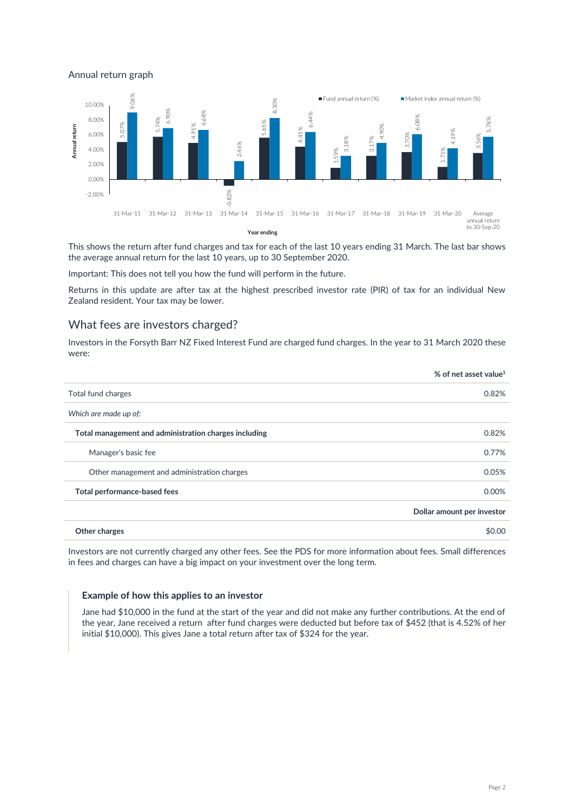Annual return graph



This shows the return after fund charges and tax for each of the last 10 years ending 31 March. The last bar shows the average annual return for the last 10 years, up to 30 September 2020.

Important: This does not tell you how the fund will perform in the future.

Returns in this update are after tax at the highest prescribed investor rate (PIR) of tax for an individual New Zealand resident. Your tax may be lower.

### What fees are investors charged?

Investors in the Forsyth Barr NZ Fixed Interest Fund are charged fund charges. In the year to 31 March 2020 these were:

|                                                       | % of net asset value <sup>1</sup> |
|-------------------------------------------------------|-----------------------------------|
| Total fund charges                                    | 0.82%                             |
| Which are made up of:                                 |                                   |
| Total management and administration charges including | 0.82%                             |
| Manager's basic fee                                   | 0.77%                             |
| Other management and administration charges           | 0.05%                             |
| Total performance-based fees                          | 0.00%                             |
|                                                       | Dollar amount per investor        |
| Other charges                                         | \$0.00                            |

Investors are not currently charged any other fees. See the PDS for more information about fees. Small differences in fees and charges can have a big impact on your investment over the long term.

#### **Example of how this applies to an investor**

Jane had \$10,000 in the fund at the start of the year and did not make any further contributions. At the end of the year, Jane received a return after fund charges were deducted but before tax of \$452 (that is 4.52% of her initial \$10,000). This gives Jane a total return after tax of \$324 for the year.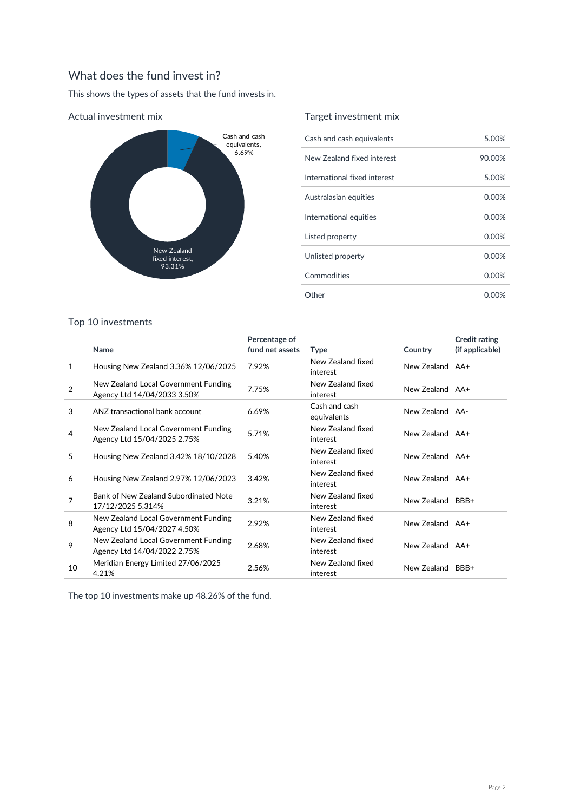## What does the fund invest in?

This shows the types of assets that the fund invests in.



#### Actual investment mix

## Target investment mix

| Cash and cash equivalents    | 5.00%    |
|------------------------------|----------|
| New Zealand fixed interest   | 90.00%   |
| International fixed interest | 5.00%    |
| Australasian equities        | 0.00%    |
| International equities       | $0.00\%$ |
| Listed property              | $0.00\%$ |
| Unlisted property            | $0.00\%$ |
| Commodities                  | $0.00\%$ |
| Other                        | 0.00%    |

### Top 10 investments

|                | Name                                                                | Percentage of<br>fund net assets | <b>Type</b>                   | Country          | <b>Credit rating</b><br>(if applicable) |
|----------------|---------------------------------------------------------------------|----------------------------------|-------------------------------|------------------|-----------------------------------------|
| 1              | Housing New Zealand 3.36% 12/06/2025                                | 7.92%                            | New Zealand fixed<br>interest | New Zealand AA+  |                                         |
| $\overline{2}$ | New Zealand Local Government Funding<br>Agency Ltd 14/04/2033 3.50% | 7.75%                            | New Zealand fixed<br>interest | New Zealand AA+  |                                         |
| 3              | ANZ transactional bank account                                      | 6.69%                            | Cash and cash<br>equivalents  | New Zealand AA-  |                                         |
| 4              | New Zealand Local Government Funding<br>Agency Ltd 15/04/2025 2.75% | 5.71%                            | New Zealand fixed<br>interest | New Zealand AA+  |                                         |
| 5              | Housing New Zealand 3.42% 18/10/2028                                | 5.40%                            | New Zealand fixed<br>interest | New Zealand AA+  |                                         |
| 6              | Housing New Zealand 2.97% 12/06/2023                                | 3.42%                            | New Zealand fixed<br>interest | New Zealand AA+  |                                         |
| 7              | Bank of New Zealand Subordinated Note<br>17/12/2025 5.314%          | 3.21%                            | New Zealand fixed<br>interest | New Zealand BBB+ |                                         |
| 8              | New Zealand Local Government Funding<br>Agency Ltd 15/04/2027 4.50% | 2.92%                            | New Zealand fixed<br>interest | New Zealand AA+  |                                         |
| 9              | New Zealand Local Government Funding<br>Agency Ltd 14/04/2022 2.75% | 2.68%                            | New Zealand fixed<br>interest | New Zealand AA+  |                                         |
| 10             | Meridian Energy Limited 27/06/2025<br>4.21%                         | 2.56%                            | New Zealand fixed<br>interest | New Zealand BBB+ |                                         |

The top 10 investments make up 48.26% of the fund.